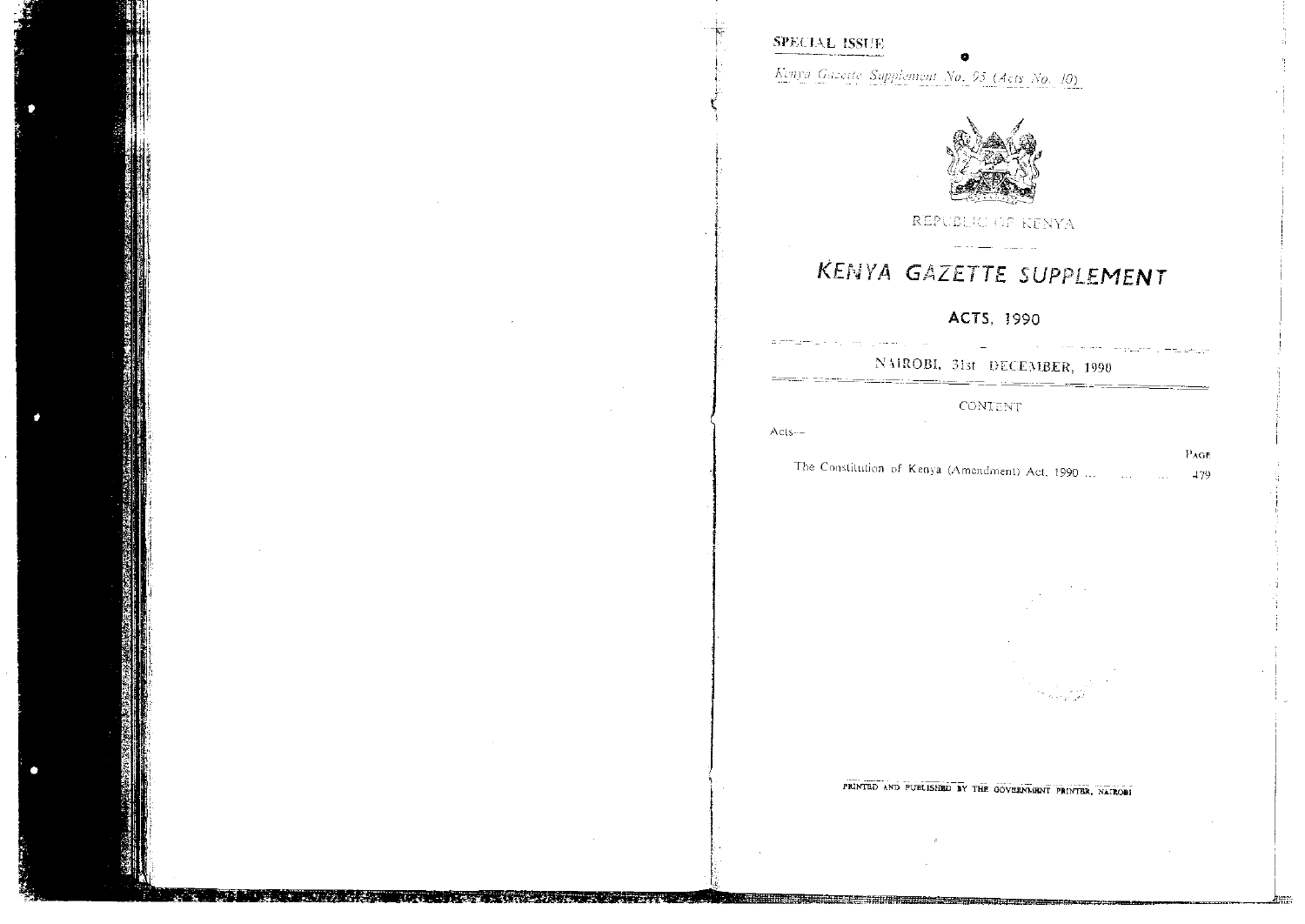# **SPECIAL ISSUE**

Kenya Gazette Supplement No. 95 (Acts No. 10)



REPUBLIC OF KENYA

# KENYA GAZETTE SUPPLEMENT

# ACTS, 1990

and some complete a modernity

NAIROBI, 31st DECEMBER, 1990 <u> Alexandro de Carlos de Carlos de Carlos de Carlos de Carlos de Carlos de Carlos de Carlos de Carlos de Carlos d</u>

#### CONTENT

 $Acts-$ 

الرابط سيران المساريحية

|  |  |                                                 |  |  | L AUD |
|--|--|-------------------------------------------------|--|--|-------|
|  |  | The Constitution of Kenya (Amendment) Act, 1990 |  |  | -179  |

PRINTED AND PUBLISHED BY THE GOVERNMENT PRINTER, NATROBI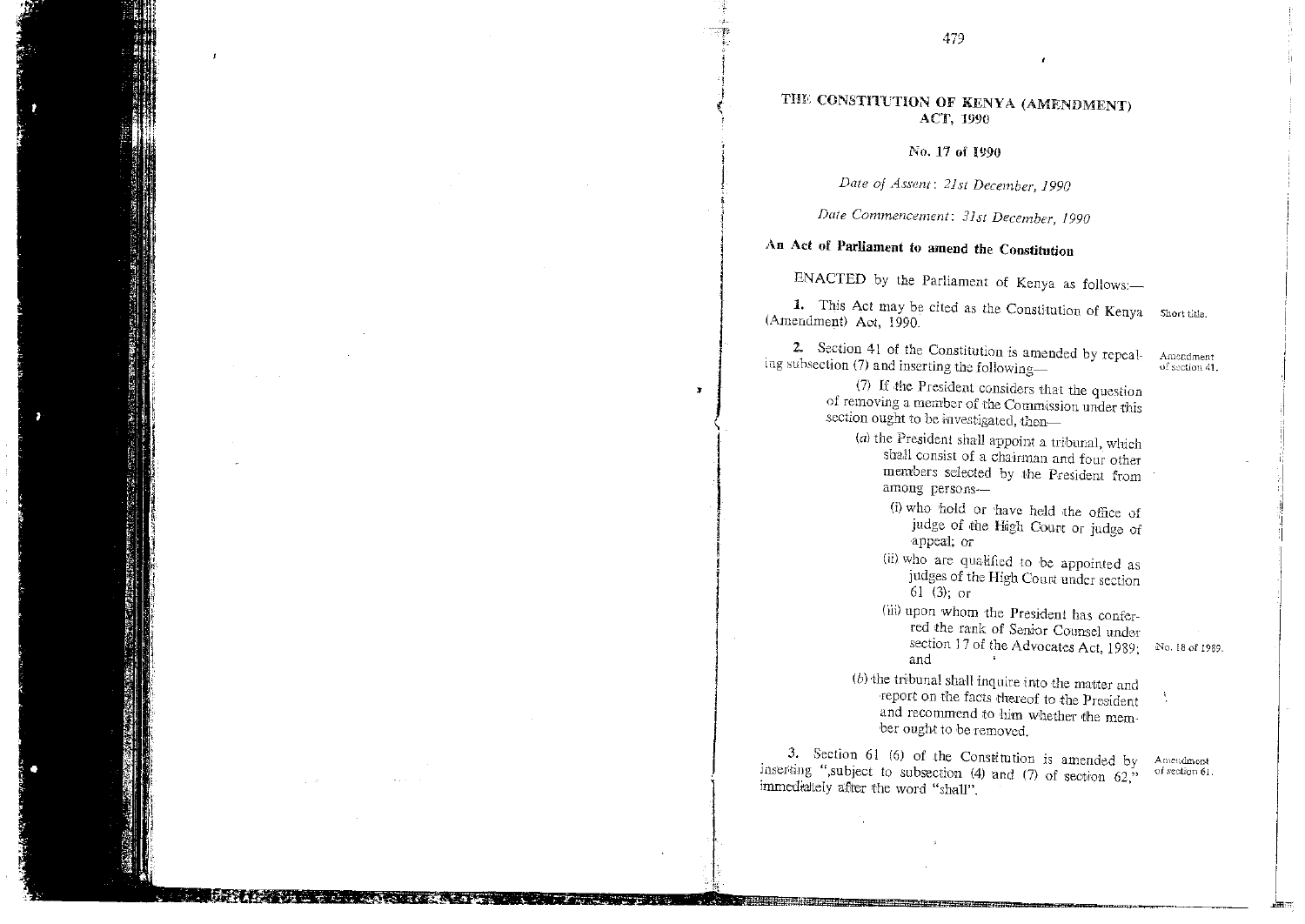### THE CONSTITUTION OF KENYA (AMENDMENT) ACT, 1990

No, 17 of 1990

*Date of Assent: 21st December, 1990* 

*Date Commencement: 31st December, 1990* 

# An Act of Parliament to amend the Constitution

ENACTED by the Parliament of Kenya as follows:—

1. This Act may be cited as the Constitution of Kenya Short title. (Amendment) Act, 1990.

2. Section 41 of the Constitution is amended by repealing subsection (7) and inserting the following—

(7) If the President considers that the question of removing a member of the Commission under this section ought to be investigated, then-

- *(a)the* President shall appoint a tribunal, which shall consist of a chairman and four other members selected by the President from among persons-
	- (i)who hold or have held the office of judge of the High Count or judge of appeal; or
	- (ii)who are qualified to be appointed as judges of the High Court under section 61 (3); or
	- (iii) upon whom the President has conferred the rank of Senior Counsel under section 17 of the Advocates Act, 1989; and
- *(b)* the tribunal shall inquire into the matter and report on the facts thereof to the President and recommend to him whether the member ought to be removed.

3. Section 61 (6) of the Constitution is amended by inserting ",subject to subsection (4) and (7) of section 62," immediately after the word "shall".

No. 18 *of* 1989.

Amendment

of section 41.

Amendment of section 61.

×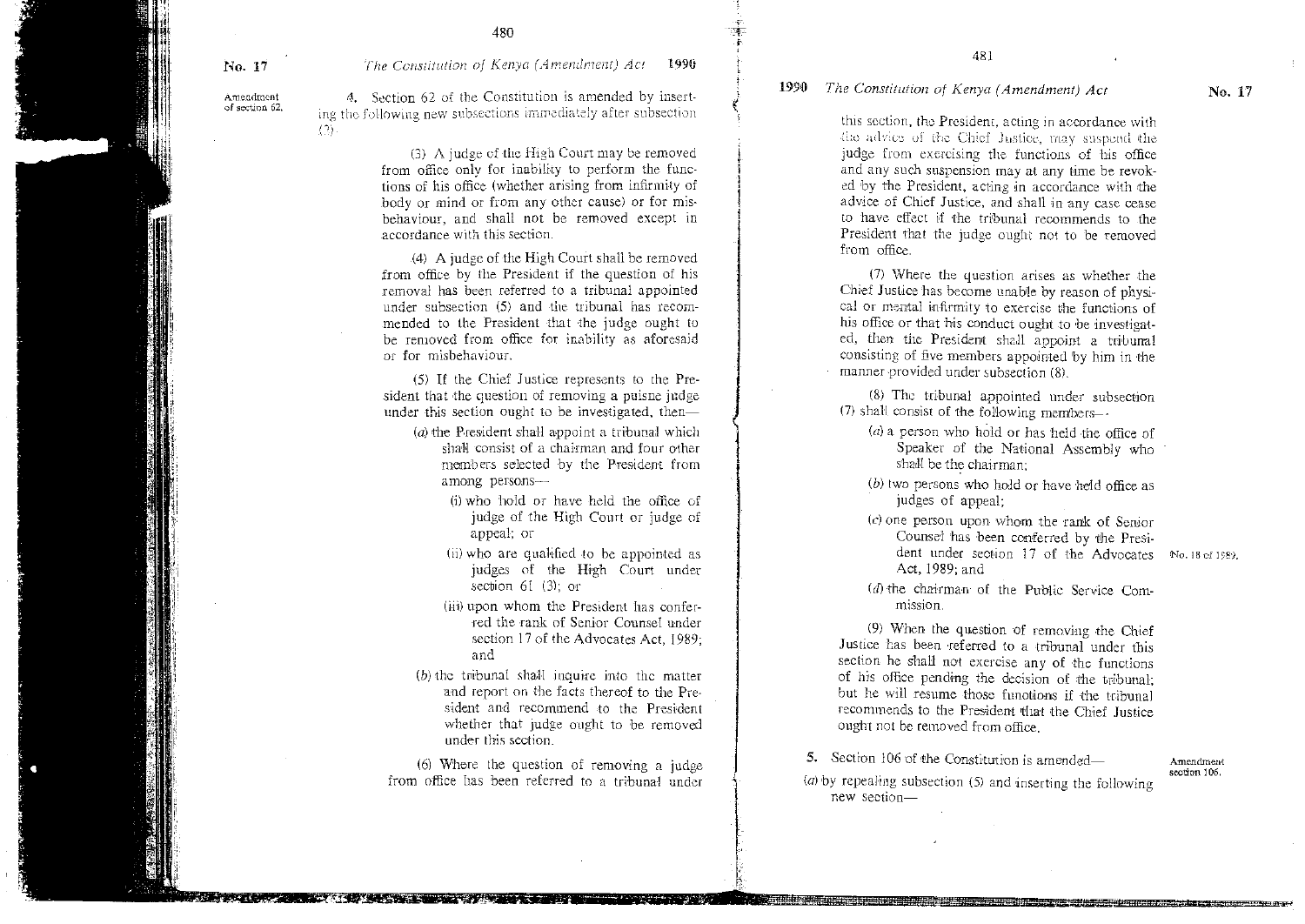No. 17 *The Constitution of Kenya* (A *mendment) Act* 1990

Amendment of section 62.

*4.* Section 62 of the Constitution is amended by inserting the following new subsections immediately after subsection  $(2)$ 

> (3) A judge of the High Court may be removed from office only for inability to perform the functions of his office (whether arising from infirmity of body or mind or from any other cause) or for misbehaviour, and shall not be removed except in \_accordance with this section.

> (4) A judge of the High Court shall be removed from office by the President if the question of his removal has been referred to a tribunal appointed under subsection (5) and the tribunal has recommended to the President that the judge ought to be removed from office for inability as aforesaid or for misbehaviour.

> (5) If the Chief Justice represents to the President that the question of removing a puisne judge under this section ought to be investigated, then—

- (a) the President shall appoint a tribunal which shall consist of a chairman and four other members selected by the President from among persons-
	- (i)who hold or have held the office of judge of the High Court or judge of appeal; or
	- (ii)who are qualified to be appointed as judges of the High Court under section 61 (3); or
	- (iii) upon whom the President has conferred the rank of Senior Counsel under section 17 of the Advocates Act, 1989; and
- *(b)* the tribunal shall inquire into the matter and report on the facts thereof to the President and recommend to the President whether that judge ought to be removed under this section.

 $\mathbf{I}$ 

(6) Where the question of removing a judge from office has been referred to a tribunal under

481

#### 1990 *The Constitution of Kenya (Amendment) Act* No. 17

this section, the President, acting in accordance with the advice of the Chief Justice, may suspend the judge from exercising the functions of his office and any such suspension may at any time be revoked by the President, acting in accordance with the advice of Chief Justice, and shall in any case cease to have effect if the tribunal recommends to the President that the judge ought not to be removed from office.

(7) Where the question arises as whether the Chief Justice has become unable by reason of physical or mental infirmity to exercise the functions of his office or that his conduct ought to be investigated, then the President shall appoint a tribunal consisting of five members appointed by him in the manner provided under subsection (8).

(8) The tribunal appointed under subsection (7) shall consist of the following members--

- (a)a person who hold or has held the office of Speaker of the National Assembly who shall be the chairman;
- (b)two persons who hold or have held office as judges of appeal;
- (c)one person upon whom the rank of Senior Counsel has been conferred by the President under section 17 of the Advocates No. 18 of 1989. Act, 1989; and

(d) the chairman- of the Public Service Commission.

(9) When the question of removing the Chief Justice has been referred to a tribunal under this section he shall not exercise any of the functions of hi's office pending the decision of the tribunal; but he will resume those functions if the tribunal recommends to the President that the Chief Justice ought not be removed from office.

5. Section 106 of the Constitution is amended— Amendment

section 106.

*(a)* by repealing subsection (5) and inserting the following new section—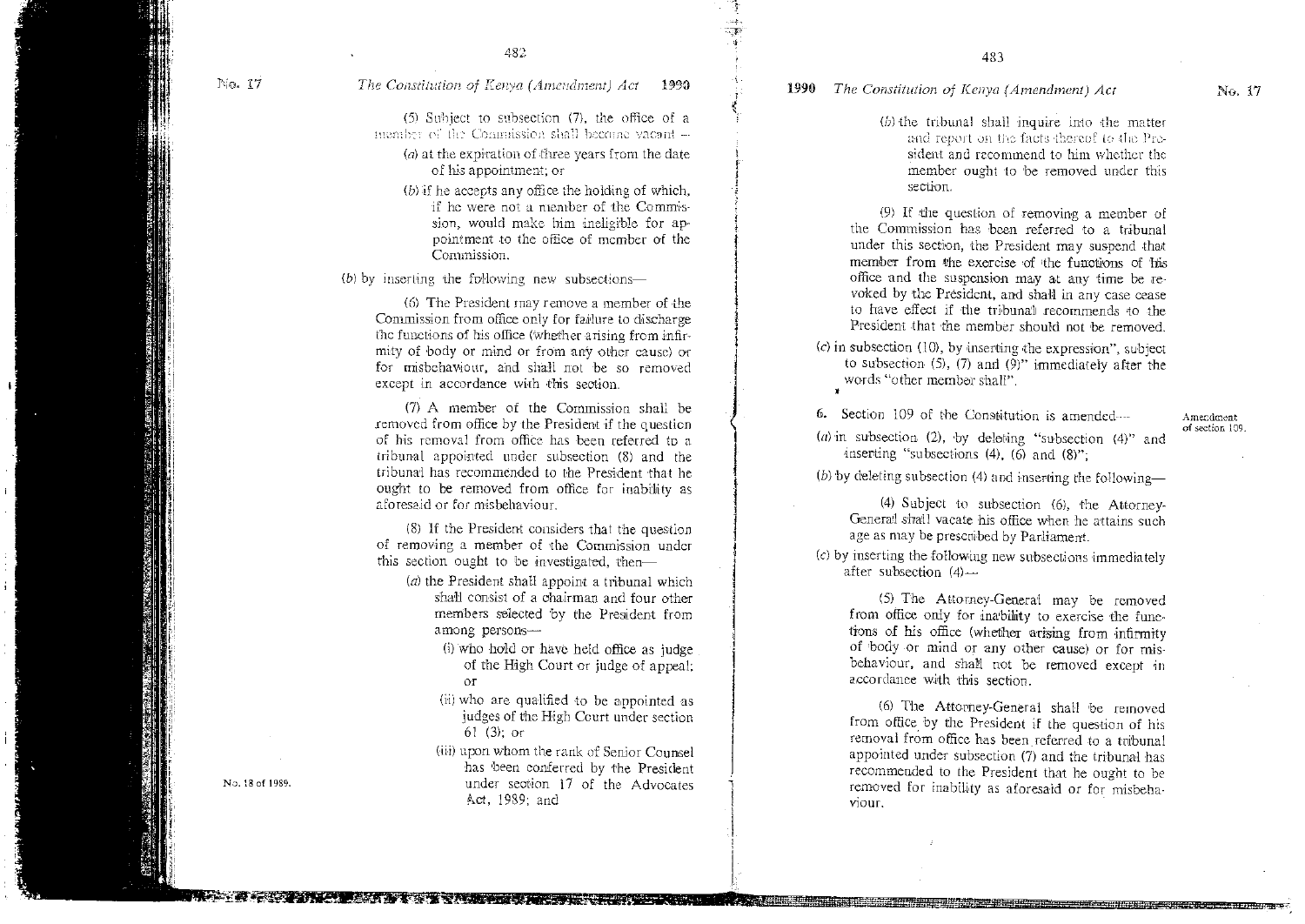#### No. 17 **The Constitution of Kenya (Amendment) Act 1990**

482

(5) Subject to subsection (7), the office of a member of the Commission shall become vacant -

- $(a)$  at the expiration of three years from the date of his appointment; or
- $(b)$  if he accepts any office the holding of which, if he were not a member of the Commission, would make him ineligible for appointment to the office of member of the Commission.

(b) by inserting the following new subsections—

(6) The President may remove a member of the Commission from office only for failure to discharge the functions of his office (Whether arising from infirmity of body or mind or from any other cause) or for misbehaviour, and shall not be so removed except in accordance with this section.

(7) A member of the Commission shall be removed from office by the President if the question of his removal from office has been referred to a tribunal appointed under subsection (8) and the tribunal has recommended to the President that he ought to be removed from office for inability as aforesaid or for misbehaviour.

(8) if the President considers that the question of removing a member of the Commission under this section ought to be 'investigated, then—

- *(a)* the President shall appoint a tribunal which shall consist of a chairman and four other members selected by the President from among persons-
	- (i)who hold or have held office as judge of the High Court or judge of appeal: OT
	- (ii)who are qualified to be appointed as judges of the High Court under section 61 (3); or
- (iii)upon whom the rank of Senior Counsel has been conferred by the President No.18 of 1989. under section 17 of the Advocates Act, 1989; and

# 1990 *The Constitution of Kenya (Amendment) Act* No. 17

(b) the tribunal shall inquire into the matter and report on the facts thereof to the President and recommend to him whether the member ought to 'be removed under this section.

483

(9) If the question of removing a member of the Commission has been referred to a tribunal under this section, the President may suspend that member from the exercise of the functions of his office and the suspension may at any time be revoked by the President, and shall in any case cease to have effect if the tribunal recommends to the President that the member should not be removed.

(c) in subsection (10), by inserting the expression", subject to subsection (5), (7) and (9)" immediately after the words "other member shall".

6. Section 109 of the Constitution is amended ---

(*a*) in subsection (2), by deleting "subsection (4)" and inserting "subsections  $(4)$ ,  $(6)$  and  $(8)$ ";

(b) by deleting subsection (4) and inserting the following—

(4) Subject to subsection (6), the Attorney-General shall vacate his office when he attains such age as may be prescribed by Parliament.

*(c)* by inserting the following new subsections immediately after subsection  $(4)$ --

(5) The Attorney-General may be removed from office only for inability to exercise the functions of his office (whether arising from infirmity of 'body or mind or any other cause) or for misbehaviour, and shall not be removed except in accordance with this section.

(6) The Attorney-General shall be removed from office by the President if the question of his removal from office has been referred to a tribunal appointed under subsection (7) and the tribunal has recommended to the President that he ought to be removed for inability as aforesaid or for misbehaviour.

arage g:r,4=- Sst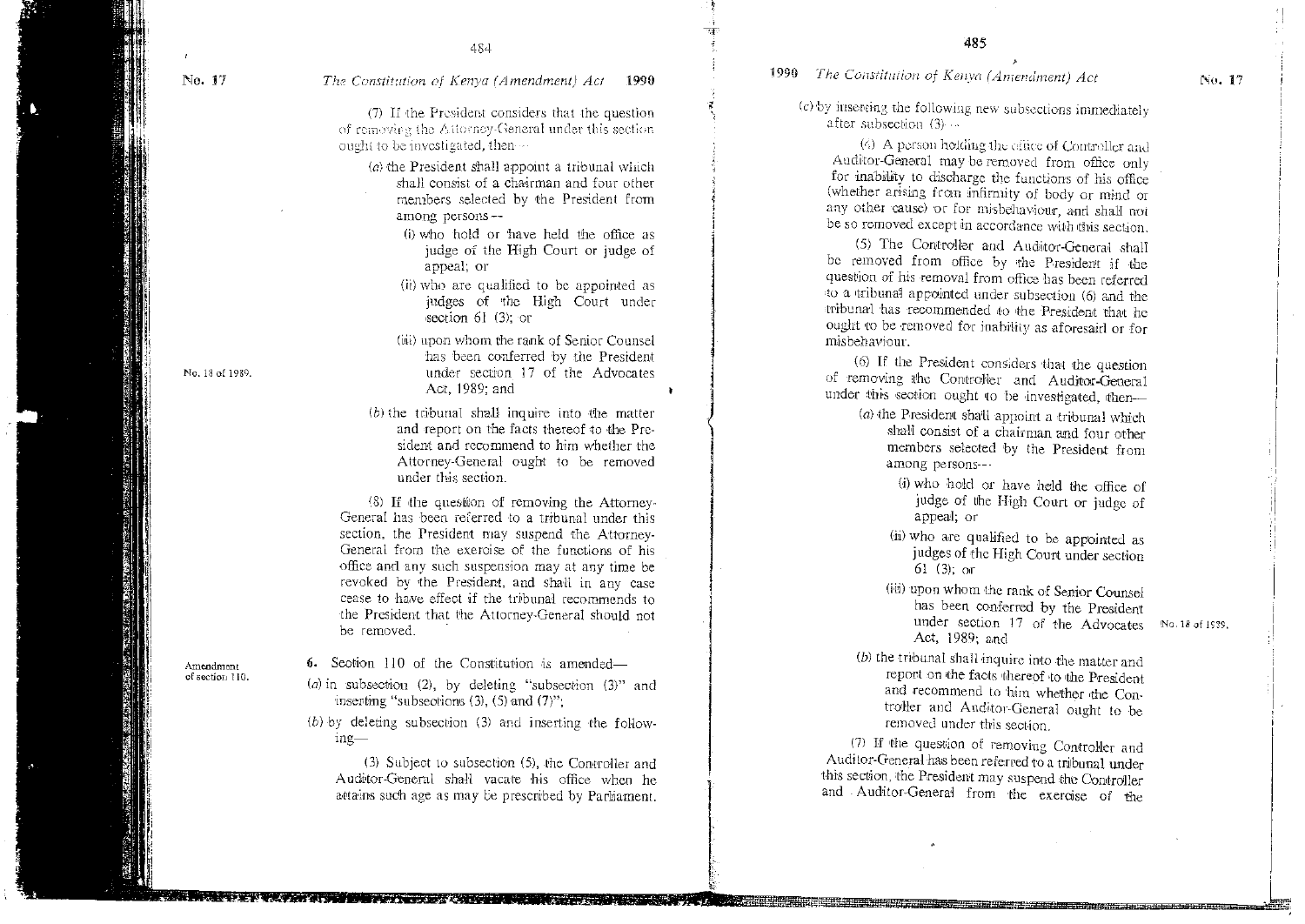No. 17 The *Constitution of Kenya (Amendment) Act* 1990

*(7)* If the President considers that the question of removing the Attorney-General under this section ought to be investigated, then  $\cdots$ 

- (*a*) the President shall appoint a tribunal which shall consist of a chairman and four other members selected by the President from among persons-
	- (i)who hold or have held the office as judge of the High Court or judge of appeal; or
	- (ii)who are qualified to be appointed as judges of the High Court under section 61 (3); or
- (iii)upon whom the rank of Senior Counsel has been conferred by the President No. 18 of 1989. under section 17 of the Advocates Act, 1989; and
	- (b) the tribunal shall inquire into the matter and report on the facts thereof to the President and recommend to him whether the Attorney-General ought to be removed under this section.

(8) If the question of removing the Attorney-General has been referred to a tribunal under this section, the President may suspend the Attorney-General from the exercise of the functions of his office and any such suspension may at any time be revoked by the President, and shall in any case cease to have effect if the tribunal recommends to the President that the Attorney-General should not be removed.

of section 110.

Amendment 6. Section 110 of the Constitution is amended—

- *(a) i*n subsection (2), by deleting "subsection (3)" and inserting "subsections (3), (5) and (7)";
- *(6)* by deleting subsection (3) and inserting the following-

(3) Subject to subsection (5), the Controller and Auditor-General shall vacate his office when he attains such age as may be prescribed by Parliament.

1990 *The Constitution of Kenya (Amendment) Act* 

*(c) by* inserting the following new subsections immediately after subsection  $(3) \cdots$ 

(s) A parson holding the cline of Controller and Auditor-General may be removed from office only for inability to discharge the functions of his office (whether arising from infirmity of body or mind or any other cause) or for misbehaviour, and shall not be so removed except in accordance with this section.

(5) The Controller and Auditor-General shall be removed from office by the President if the question of his removal from office has been referred to a tribunal appointed under subsection (6) and the tribunal has recommended to the President that he ought to be removed for inability as aforesaid or for misbehaviour.

(6) If the President considers that the question of removing the Controller and Auditor-General under this section ought to be investigated, then-

- (a) the President shall appoint a tribunal which shall consist of a chairman and four other members selected by the President from among persons—
	- (1) who hold or have held the office of judge of the High Court or judge of appeal; or
	- (ii) who are qualified to be appointed as judges of the High Court under section 61 (3); Of
	- (iii) upon whom the rank of Senior Counsel has been conferred by the President under section 17 of the Advocates No, 18 of 1929. Act, 1989; and
- (b) the tribunal shall inquire into the matter and report on the facts thereof to the President and recommend to him whether the Controller and Auditor-General ought to be removed under this section.

(7) If the question of removing Controller and Auditor-General has been referred to a tribunal under this section, the President may suspend the Controller and Auditor-General from the exercise of the